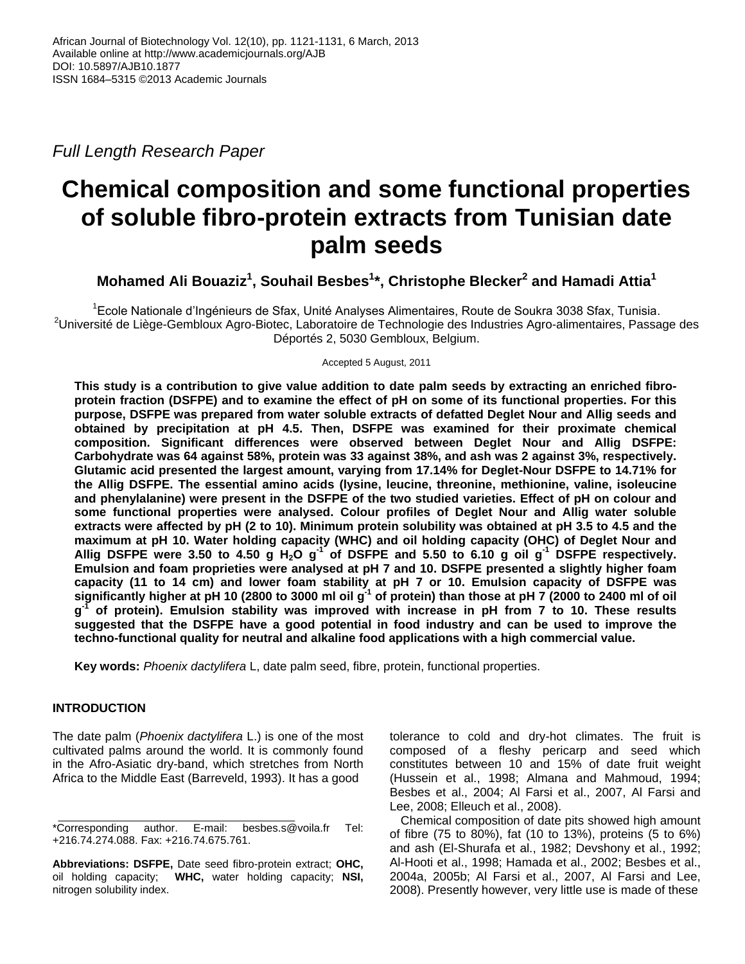*Full Length Research Paper*

# **Chemical composition and some functional properties of soluble fibro-protein extracts from Tunisian date palm seeds**

**Mohamed Ali Bouaziz<sup>1</sup> , Souhail Besbes<sup>1</sup> \*, Christophe Blecker<sup>2</sup> and Hamadi Attia<sup>1</sup>**

<sup>1</sup>Ecole Nationale d'Ingénieurs de Sfax, Unité Analyses Alimentaires, Route de Soukra 3038 Sfax, Tunisia.  $2$ Université de Liège-Gembloux Agro-Biotec, Laboratoire de Technologie des Industries Agro-alimentaires, Passage des Déportés 2, 5030 Gembloux, Belgium.

Accepted 5 August, 2011

**This study is a contribution to give value addition to date palm seeds by extracting an enriched fibroprotein fraction (DSFPE) and to examine the effect of pH on some of its functional properties. For this purpose, DSFPE was prepared from water soluble extracts of defatted Deglet Nour and Allig seeds and obtained by precipitation at pH 4.5. Then, DSFPE was examined for their proximate chemical composition. Significant differences were observed between Deglet Nour and Allig DSFPE: Carbohydrate was 64 against 58%, protein was 33 against 38%, and ash was 2 against 3%, respectively. Glutamic acid presented the largest amount, varying from 17.14% for Deglet-Nour DSFPE to 14.71% for the Allig DSFPE. The essential amino acids (lysine, leucine, threonine, methionine, valine, isoleucine and phenylalanine) were present in the DSFPE of the two studied varieties. Effect of pH on colour and some functional properties were analysed. Colour profiles of Deglet Nour and Allig water soluble extracts were affected by pH (2 to 10). Minimum protein solubility was obtained at pH 3.5 to 4.5 and the maximum at pH 10. Water holding capacity (WHC) and oil holding capacity (OHC) of Deglet Nour and Allig DSFPE were 3.50 to 4.50 g H2O g -1 of DSFPE and 5.50 to 6.10 g oil g -1 DSFPE respectively. Emulsion and foam proprieties were analysed at pH 7 and 10. DSFPE presented a slightly higher foam capacity (11 to 14 cm) and lower foam stability at pH 7 or 10. Emulsion capacity of DSFPE was significantly higher at pH 10 (2800 to 3000 ml oil g -1 of protein) than those at pH 7 (2000 to 2400 ml of oil g -1 of protein). Emulsion stability was improved with increase in pH from 7 to 10. These results suggested that the DSFPE have a good potential in food industry and can be used to improve the techno-functional quality for neutral and alkaline food applications with a high commercial value.**

**Key words:** *Phoenix dactylifera* L, date palm seed, fibre, protein, functional properties.

# **INTRODUCTION**

The date palm (*Phoenix dactylifera* L.) is one of the most cultivated palms around the world. It is commonly found in the Afro-Asiatic dry-band, which stretches from North Africa to the Middle East (Barreveld, 1993). It has a good

tolerance to cold and dry-hot climates. The fruit is composed of a fleshy pericarp and seed which constitutes between 10 and 15% of date fruit weight (Hussein et al., 1998; Almana and Mahmoud, 1994; Besbes et al., 2004; Al Farsi et al., 2007, Al Farsi and Lee, 2008; Elleuch et al., 2008).

Chemical composition of date pits showed high amount of fibre (75 to 80%), fat (10 to 13%), proteins (5 to 6%) and ash (El-Shurafa et al., 1982; Devshony et al., 1992; Al-Hooti et al., 1998; Hamada et al., 2002; Besbes et al., 2004a, 2005b; Al Farsi et al., 2007, Al Farsi and Lee, 2008). Presently however, very little use is made of these

<sup>\*</sup>Corresponding author. E-mail: besbes.s@voila.fr Tel: +216.74.274.088. Fax: +216.74.675.761.

**Abbreviations: DSFPE,** Date seed fibro-protein extract; **OHC,** oil holding capacity; **WHC,** water holding capacity; **NSI,** nitrogen solubility index.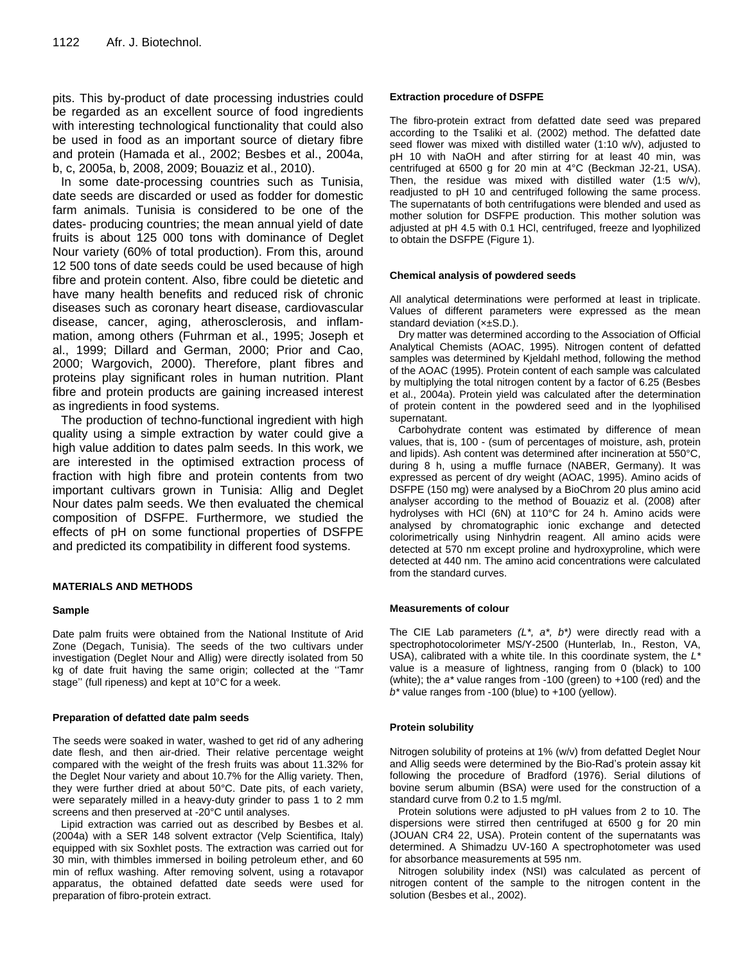pits. This by-product of date processing industries could be regarded as an excellent source of food ingredients with interesting technological functionality that could also be used in food as an important source of dietary fibre and protein (Hamada et al., 2002; Besbes et al., 2004a, b, c, 2005a, b, 2008, 2009; Bouaziz et al., 2010).

In some date-processing countries such as Tunisia, date seeds are discarded or used as fodder for domestic farm animals. Tunisia is considered to be one of the dates- producing countries; the mean annual yield of date fruits is about 125 000 tons with dominance of Deglet Nour variety (60% of total production). From this, around 12 500 tons of date seeds could be used because of high fibre and protein content. Also, fibre could be dietetic and have many health benefits and reduced risk of chronic diseases such as coronary heart disease, cardiovascular disease, cancer, aging, atherosclerosis, and inflammation, among others (Fuhrman et al., 1995; Joseph et al., 1999; Dillard and German, 2000; Prior and Cao, 2000; Wargovich, 2000). Therefore, plant fibres and proteins play significant roles in human nutrition. Plant fibre and protein products are gaining increased interest as ingredients in food systems.

The production of techno-functional ingredient with high quality using a simple extraction by water could give a high value addition to dates palm seeds. In this work, we are interested in the optimised extraction process of fraction with high fibre and protein contents from two important cultivars grown in Tunisia: Allig and Deglet Nour dates palm seeds. We then evaluated the chemical composition of DSFPE. Furthermore, we studied the effects of pH on some functional properties of DSFPE and predicted its compatibility in different food systems.

#### **MATERIALS AND METHODS**

#### **Sample**

Date palm fruits were obtained from the National Institute of Arid Zone (Degach, Tunisia). The seeds of the two cultivars under investigation (Deglet Nour and Allig) were directly isolated from 50 kg of date fruit having the same origin; collected at the ''Tamr stage'' (full ripeness) and kept at 10°C for a week.

#### **Preparation of defatted date palm seeds**

The seeds were soaked in water, washed to get rid of any adhering date flesh, and then air-dried. Their relative percentage weight compared with the weight of the fresh fruits was about 11.32% for the Deglet Nour variety and about 10.7% for the Allig variety. Then, they were further dried at about 50°C. Date pits, of each variety, were separately milled in a heavy-duty grinder to pass 1 to 2 mm screens and then preserved at -20°C until analyses.

Lipid extraction was carried out as described by Besbes et al. (2004a) with a SER 148 solvent extractor (Velp Scientifica, Italy) equipped with six Soxhlet posts. The extraction was carried out for 30 min, with thimbles immersed in boiling petroleum ether, and 60 min of reflux washing. After removing solvent, using a rotavapor apparatus, the obtained defatted date seeds were used for preparation of fibro-protein extract.

#### **Extraction procedure of DSFPE**

The fibro-protein extract from defatted date seed was prepared according to the Tsaliki et al. (2002) method. The defatted date seed flower was mixed with distilled water (1:10 w/v), adjusted to pH 10 with NaOH and after stirring for at least 40 min, was centrifuged at 6500 g for 20 min at 4°C (Beckman J2-21, USA). Then, the residue was mixed with distilled water (1:5 w/v), readjusted to pH 10 and centrifuged following the same process. The supernatants of both centrifugations were blended and used as mother solution for DSFPE production. This mother solution was adjusted at pH 4.5 with 0.1 HCl, centrifuged, freeze and lyophilized to obtain the DSFPE (Figure 1).

#### **Chemical analysis of powdered seeds**

All analytical determinations were performed at least in triplicate. Values of different parameters were expressed as the mean standard deviation (×±S.D.).

Dry matter was determined according to the Association of Official Analytical Chemists (AOAC, 1995). Nitrogen content of defatted samples was determined by Kjeldahl method, following the method of the AOAC (1995). Protein content of each sample was calculated by multiplying the total nitrogen content by a factor of 6.25 (Besbes et al., 2004a). Protein yield was calculated after the determination of protein content in the powdered seed and in the lyophilised supernatant.

Carbohydrate content was estimated by difference of mean values, that is, 100 - (sum of percentages of moisture, ash, protein and lipids). Ash content was determined after incineration at 550°C, during 8 h, using a muffle furnace (NABER, Germany). It was expressed as percent of dry weight (AOAC, 1995). Amino acids of DSFPE (150 mg) were analysed by a BioChrom 20 plus amino acid analyser according to the method of Bouaziz et al. (2008) after hydrolyses with HCl (6N) at 110°C for 24 h. Amino acids were analysed by chromatographic ionic exchange and detected colorimetrically using Ninhydrin reagent. All amino acids were detected at 570 nm except proline and hydroxyproline, which were detected at 440 nm. The amino acid concentrations were calculated from the standard curves.

#### **Measurements of colour**

The CIE Lab parameters *(L\*, a\*, b\*)* were directly read with a spectrophotocolorimeter MS/Y-2500 (Hunterlab, In., Reston, VA, USA), calibrated with a white tile. In this coordinate system, the *L\** value is a measure of lightness, ranging from 0 (black) to 100 (white); the *a\** value ranges from -100 (green) to +100 (red) and the *b\** value ranges from -100 (blue) to +100 (yellow).

#### **Protein solubility**

Nitrogen solubility of proteins at 1% (w/v) from defatted Deglet Nour and Allig seeds were determined by the Bio-Rad's protein assay kit following the procedure of Bradford (1976). Serial dilutions of bovine serum albumin (BSA) were used for the construction of a standard curve from 0.2 to 1.5 mg/ml.

Protein solutions were adjusted to pH values from 2 to 10. The dispersions were stirred then centrifuged at 6500 g for 20 min (JOUAN CR4 22, USA). Protein content of the supernatants was determined. A Shimadzu UV-160 A spectrophotometer was used for absorbance measurements at 595 nm.

Nitrogen solubility index (NSI) was calculated as percent of nitrogen content of the sample to the nitrogen content in the solution (Besbes et al., 2002).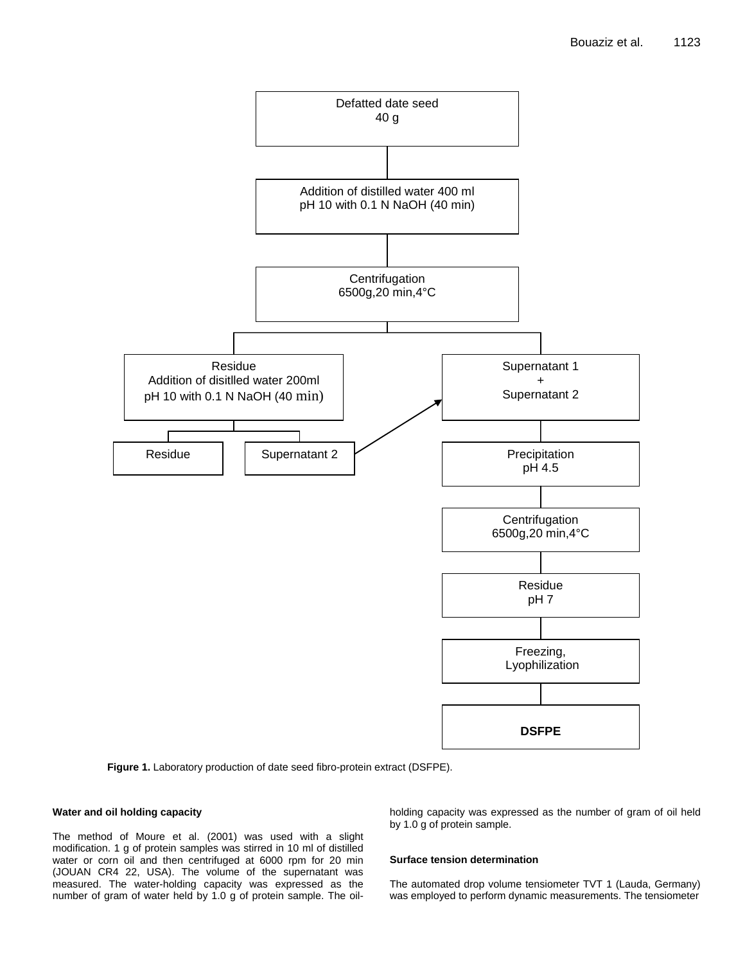

**Figure 1.** Laboratory production of date seed fibro-protein extract (DSFPE).

### **Water and oil holding capacity**

The method of Moure et al. (2001) was used with a slight modification. 1 g of protein samples was stirred in 10 ml of distilled water or corn oil and then centrifuged at 6000 rpm for 20 min (JOUAN CR4 22, USA). The volume of the supernatant was measured. The water-holding capacity was expressed as the number of gram of water held by 1.0 g of protein sample. The oilholding capacity was expressed as the number of gram of oil held by 1.0 g of protein sample.

#### **Surface tension determination**

The automated drop volume tensiometer TVT 1 (Lauda, Germany) was employed to perform dynamic measurements. The tensiometer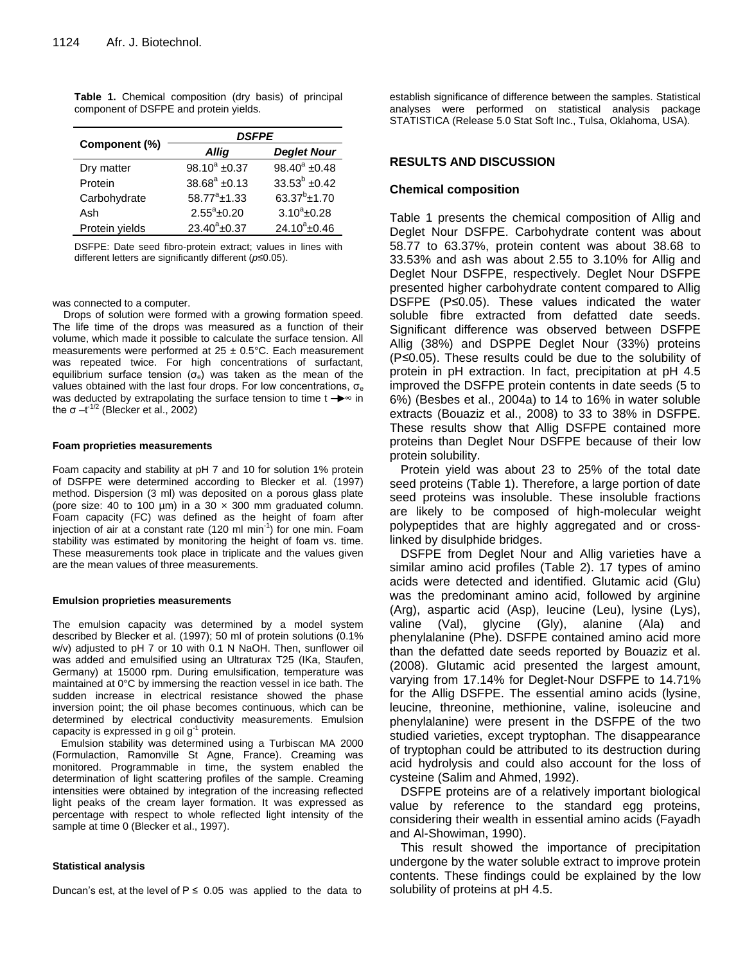|               | <b>DSFPE</b>           |                        |  |
|---------------|------------------------|------------------------|--|
| Component (%) | Allig                  | <b>Deglet Nour</b>     |  |
| Dry matter    | 98.10 $^{\circ}$ ±0.37 | 98.40 $^{\circ}$ ±0.48 |  |
| Protein       | $38.68^a \pm 0.13$     | $33.53^b \pm 0.42$     |  |
| Carbohydrate  | $58.77^a \pm 1.33$     | $63.37^{b}$ ±1.70      |  |

**Table 1.** Chemical composition (dry basis) of principal component of DSFPE and protein yields.

DSFPE: Date seed fibro-protein extract; values in lines with different letters are significantly different (*p*≤0.05).

 $3.10^a \pm 0.28$ 

 $\pm 0.37$  24.10<sup>a</sup> $\pm 0.46$ 

Ash  $2.55^{\circ}$ ±0.20  $3.10^{\circ}$ 

Protein yields  $23.40^{\circ}$ ±0.37

#### was connected to a computer.

Drops of solution were formed with a growing formation speed. The life time of the drops was measured as a function of their volume, which made it possible to calculate the surface tension. All measurements were performed at  $25 \pm 0.5^{\circ}$ C. Each measurement was repeated twice. For high concentrations of surfactant, equilibrium surface tension (σ<sub>e</sub>) was taken as the mean of the values obtained with the last four drops. For low concentrations,  $\sigma_{e}$ was deducted by extrapolating the surface tension to time  $t \rightarrow \infty$  in the σ $-t^{1/2}$  (Blecker et al., 2002)

#### **Foam proprieties measurements**

Foam capacity and stability at pH 7 and 10 for solution 1% protein of DSFPE were determined according to Blecker et al. (1997) method. Dispersion (3 ml) was deposited on a porous glass plate (pore size: 40 to 100  $\mu$ m) in a 30  $\times$  300 mm graduated column. Foam capacity (FC) was defined as the height of foam after injection of air at a constant rate (120 ml min $1$ ) for one min. Foam stability was estimated by monitoring the height of foam vs. time. These measurements took place in triplicate and the values given are the mean values of three measurements.

#### **Emulsion proprieties measurements**

The emulsion capacity was determined by a model system described by Blecker et al. (1997); 50 ml of protein solutions (0.1% w/v) adjusted to pH 7 or 10 with 0.1 N NaOH. Then, sunflower oil was added and emulsified using an Ultraturax T25 (IKa, Staufen, Germany) at 15000 rpm. During emulsification, temperature was maintained at 0°C by immersing the reaction vessel in ice bath. The sudden increase in electrical resistance showed the phase inversion point; the oil phase becomes continuous, which can be determined by electrical conductivity measurements. Emulsion capacity is expressed in g oil  $g^{-1}$  protein.

Emulsion stability was determined using a Turbiscan MA 2000 (Formulaction, Ramonville St Agne, France). Creaming was monitored. Programmable in time, the system enabled the determination of light scattering profiles of the sample. Creaming intensities were obtained by integration of the increasing reflected light peaks of the cream layer formation. It was expressed as percentage with respect to whole reflected light intensity of the sample at time 0 (Blecker et al., 1997).

#### **Statistical analysis**

Duncan's est, at the level of  $P \le 0.05$  was applied to the data to

establish significance of difference between the samples. Statistical analyses were performed on statistical analysis package STATISTICA (Release 5.0 Stat Soft Inc., Tulsa, Oklahoma, USA).

# **RESULTS AND DISCUSSION**

#### **Chemical composition**

Table 1 presents the chemical composition of Allig and Deglet Nour DSFPE. Carbohydrate content was about 58.77 to 63.37%, protein content was about 38.68 to 33.53% and ash was about 2.55 to 3.10% for Allig and Deglet Nour DSFPE, respectively. Deglet Nour DSFPE presented higher carbohydrate content compared to Allig DSFPE (P≤0.05). These values indicated the water soluble fibre extracted from defatted date seeds. Significant difference was observed between DSFPE Allig (38%) and DSPPE Deglet Nour (33%) proteins (P*≤*0.05). These results could be due to the solubility of protein in pH extraction. In fact, precipitation at pH 4.5 improved the DSFPE protein contents in date seeds (5 to 6%) (Besbes et al., 2004a) to 14 to 16% in water soluble extracts (Bouaziz et al., 2008) to 33 to 38% in DSFPE. These results show that Allig DSFPE contained more proteins than Deglet Nour DSFPE because of their low protein solubility.

Protein yield was about 23 to 25% of the total date seed proteins (Table 1). Therefore, a large portion of date seed proteins was insoluble. These insoluble fractions are likely to be composed of high-molecular weight polypeptides that are highly aggregated and or crosslinked by disulphide bridges.

DSFPE from Deglet Nour and Allig varieties have a similar amino acid profiles (Table 2). 17 types of amino acids were detected and identified. Glutamic acid (Glu) was the predominant amino acid, followed by arginine (Arg), aspartic acid (Asp), leucine (Leu), lysine (Lys), valine (Val), glycine (Gly), alanine (Ala) and phenylalanine (Phe). DSFPE contained amino acid more than the defatted date seeds reported by Bouaziz et al. (2008). Glutamic acid presented the largest amount, varying from 17.14% for Deglet-Nour DSFPE to 14.71% for the Allig DSFPE. The essential amino acids (lysine, leucine, threonine, methionine, valine, isoleucine and phenylalanine) were present in the DSFPE of the two studied varieties, except tryptophan. The disappearance of tryptophan could be attributed to its destruction during acid hydrolysis and could also account for the loss of cysteine (Salim and Ahmed, 1992).

DSFPE proteins are of a relatively important biological value by reference to the standard egg proteins, considering their wealth in essential amino acids (Fayadh and Al-Showiman, 1990).

This result showed the importance of precipitation undergone by the water soluble extract to improve protein contents. These findings could be explained by the low solubility of proteins at pH 4.5.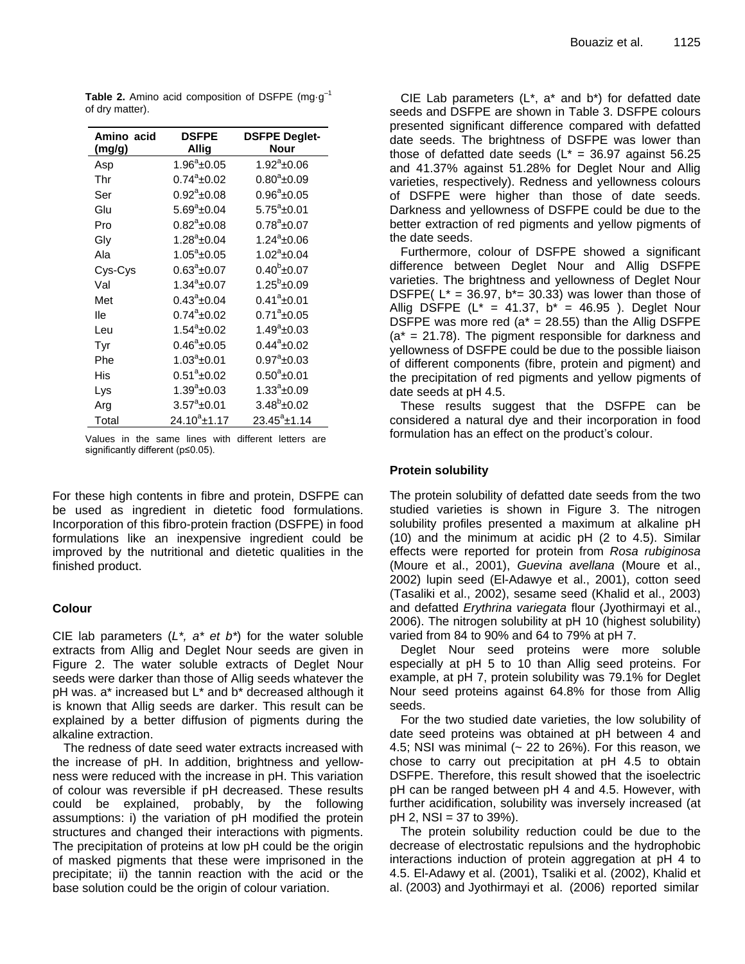| Amino acid | <b>DSFPE</b>         | <b>DSFPE Deglet-</b>    |
|------------|----------------------|-------------------------|
| (mg/g)     | Allig                | Nour                    |
| Asp        | $1.96^a$ ±0.05       | $1.92^a \pm 0.06$       |
| Thr        | $0.74^a \pm 0.02$    | $0.80^a$ ±0.09          |
| Ser        | $0.92^a$ ±0.08       | $0.96^a \pm 0.05$       |
| Glu        | $5.69^{\circ}$ ±0.04 | $5.75^a$ ±0.01          |
| Pro        | $0.82^{\circ}$ ±0.08 | $0.78^a$ ± $0.07$       |
| Gly        | $1.28^a$ ±0.04       | $1.24^a$ ±0.06          |
| Ala        | $1.05^a$ ±0.05       | $1.02^a$ ±0.04          |
| Cys-Cys    | $0.63^a \pm 0.07$    | $0.40^{\rm b}$ ± $0.07$ |
| Val        | $1.34^a \pm 0.07$    | $1.25^b$ ±0.09          |
| Met        | $0.43^a \pm 0.04$    | $0.41^a$ ± $0.01$       |
| lle        | $0.74^a \pm 0.02$    | $0.71^a$ ±0.05          |
| Leu        | $1.54^a \pm 0.02$    | $1.49^a \pm 0.03$       |
| Tyr        | $0.46^a$ ±0.05       | $0.44^a$ ±0.02          |
| Phe        | $1.03^a$ ±0.01       | $0.97^a$ ±0.03          |
| His        | $0.51^a \pm 0.02$    | $0.50^a$ ±0.01          |
| Lys        | $1.39^a \pm 0.03$    | $1.33^a \pm 0.09$       |
| Arg        | $3.57^a \pm 0.01$    | $3.48^b$ ±0.02          |
| Total      | $24.10^a$ ±1.17      | $23.45^a \pm 1.14$      |

**Table 2.** Amino acid composition of DSFPE (mg·g<sup>-1</sup>) of dry matter).

Values in the same lines with different letters are significantly different (p≤0.05).

For these high contents in fibre and protein, DSFPE can be used as ingredient in dietetic food formulations. Incorporation of this fibro-protein fraction (DSFPE) in food formulations like an inexpensive ingredient could be improved by the nutritional and dietetic qualities in the finished product.

# **Colour**

CIE lab parameters (*L\*, a\* et b\**) for the water soluble extracts from Allig and Deglet Nour seeds are given in Figure 2. The water soluble extracts of Deglet Nour seeds were darker than those of Allig seeds whatever the pH was. a\* increased but L\* and b\* decreased although it is known that Allig seeds are darker. This result can be explained by a better diffusion of pigments during the alkaline extraction.

The redness of date seed water extracts increased with the increase of pH. In addition, brightness and yellowness were reduced with the increase in pH. This variation of colour was reversible if pH decreased. These results could be explained, probably, by the following assumptions: i) the variation of pH modified the protein structures and changed their interactions with pigments. The precipitation of proteins at low pH could be the origin of masked pigments that these were imprisoned in the precipitate; ii) the tannin reaction with the acid or the base solution could be the origin of colour variation.

CIE Lab parameters  $(L^*, a^*$  and  $b^*)$  for defatted date seeds and DSFPE are shown in Table 3. DSFPE colours presented significant difference compared with defatted date seeds. The brightness of DSFPE was lower than those of defatted date seeds ( $L^* = 36.97$  against 56.25 and 41.37% against 51.28% for Deglet Nour and Allig varieties, respectively). Redness and yellowness colours of DSFPE were higher than those of date seeds. Darkness and yellowness of DSFPE could be due to the better extraction of red pigments and yellow pigments of the date seeds.

Furthermore, colour of DSFPE showed a significant difference between Deglet Nour and Allig DSFPE varieties. The brightness and yellowness of Deglet Nour DSFPE(  $L^* = 36.97$ ,  $b^* = 30.33$ ) was lower than those of Allig DSFPE  $(L^* = 41.37, b^* = 46.95)$ . Deglet Nour DSFPE was more red ( $a^* = 28.55$ ) than the Allig DSFPE  $(a^* = 21.78)$ . The pigment responsible for darkness and yellowness of DSFPE could be due to the possible liaison of different components (fibre, protein and pigment) and the precipitation of red pigments and yellow pigments of date seeds at pH 4.5.

These results suggest that the DSFPE can be considered a natural dye and their incorporation in food formulation has an effect on the product's colour.

# **Protein solubility**

The protein solubility of defatted date seeds from the two studied varieties is shown in Figure 3. The nitrogen solubility profiles presented a maximum at alkaline pH (10) and the minimum at acidic pH (2 to 4.5). Similar effects were reported for protein from *Rosa rubiginosa* (Moure et al., 2001), *Guevina avellana* (Moure et al., 2002) lupin seed (El-Adawye et al., 2001), cotton seed (Tasaliki et al., 2002), sesame seed (Khalid et al., 2003) and defatted *Erythrina variegata* flour (Jyothirmayi et al., 2006). The nitrogen solubility at pH 10 (highest solubility) varied from 84 to 90% and 64 to 79% at pH 7.

Deglet Nour seed proteins were more soluble especially at pH 5 to 10 than Allig seed proteins. For example, at pH 7, protein solubility was 79.1% for Deglet Nour seed proteins against 64.8% for those from Allig seeds.

For the two studied date varieties, the low solubility of date seed proteins was obtained at pH between 4 and 4.5; NSI was minimal  $(22 \text{ to } 26\%)$ . For this reason, we chose to carry out precipitation at pH 4.5 to obtain DSFPE. Therefore, this result showed that the isoelectric pH can be ranged between pH 4 and 4.5. However, with further acidification, solubility was inversely increased (at  $pH 2$ , NSI = 37 to 39%).

The protein solubility reduction could be due to the decrease of electrostatic repulsions and the hydrophobic interactions induction of protein aggregation at pH 4 to 4.5. El-Adawy et al. (2001), Tsaliki et al. (2002), Khalid et al. (2003) and Jyothirmayi et al. (2006) reported similar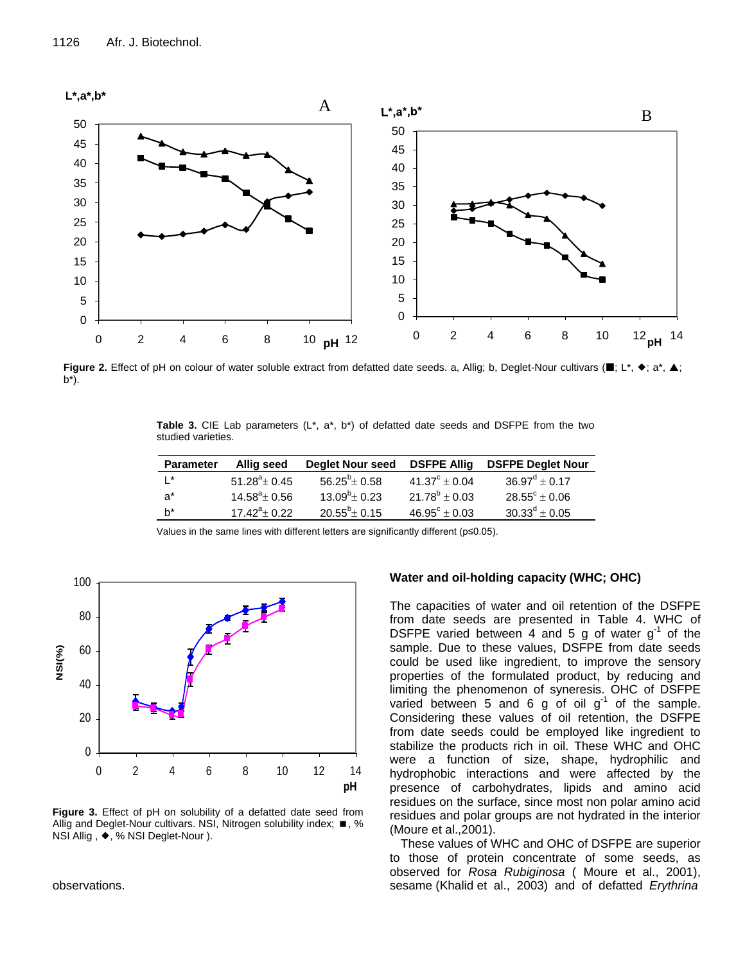

Figure 2. Effect of pH on colour of water soluble extract from defatted date seeds. a, Allig; b, Deglet-Nour cultivars (■; L\*, ◆; a\*, ▲;  $b^*$ ).

**Table 3.** CIE Lab parameters (L\*, a\*, b\*) of defatted date seeds and DSFPE from the two studied varieties.

| <b>Parameter</b> | Allig seed             | Deglet Nour seed DSFPE Allig |                          | <b>DSFPE Deglet Nour</b> |
|------------------|------------------------|------------------------------|--------------------------|--------------------------|
| $L^*$            | $51.28^{\circ}$ ± 0.45 | $56.25^b \pm 0.58$           | $41.37^{\circ} + 0.04$   | $36.97^{\circ} \pm 0.17$ |
| −a*              | $14.58^{\circ}$ ± 0.56 | $13.09^b \pm 0.23$           | $21.78^b \pm 0.03$       | $28.55^{\circ} \pm 0.06$ |
| b*               | $17.42^{\circ}+0.22$   | $20.55^b \pm 0.15$           | $46.95^{\circ} \pm 0.03$ | $30.33^d \pm 0.05$       |

Values in the same lines with different letters are significantly different (p≤0.05).



**Figure 3.** Effect of pH on solubility of a defatted date seed from Allig and Deglet-Nour cultivars. NSI, Nitrogen solubility index;  $\blacksquare$ , % NSI Allig, ♦, % NSI Deglet-Nour ).

observations.

# **Water and oil-holding capacity (WHC; OHC)**

The capacities of water and oil retention of the DSFPE from date seeds are presented in Table 4. WHC of DSFPE varied between 4 and 5 g of water  $g^{-1}$  of the sample. Due to these values, DSFPE from date seeds could be used like ingredient, to improve the sensory properties of the formulated product, by reducing and limiting the phenomenon of syneresis. OHC of DSFPE varied between 5 and 6 g of oil  $g^{-1}$  of the sample. Considering these values of oil retention, the DSFPE from date seeds could be employed like ingredient to stabilize the products rich in oil. These WHC and OHC were a function of size, shape, hydrophilic and hydrophobic interactions and were affected by the presence of carbohydrates, lipids and amino acid residues on the surface, since most non polar amino acid residues and polar groups are not hydrated in the interior (Moure et al.,2001).

These values of WHC and OHC of DSFPE are superior to those of protein concentrate of some seeds, as observed for *Rosa Rubiginosa* ( Moure et al., 2001), sesame (Khalid et al., 2003) and of defatted *Erythrina*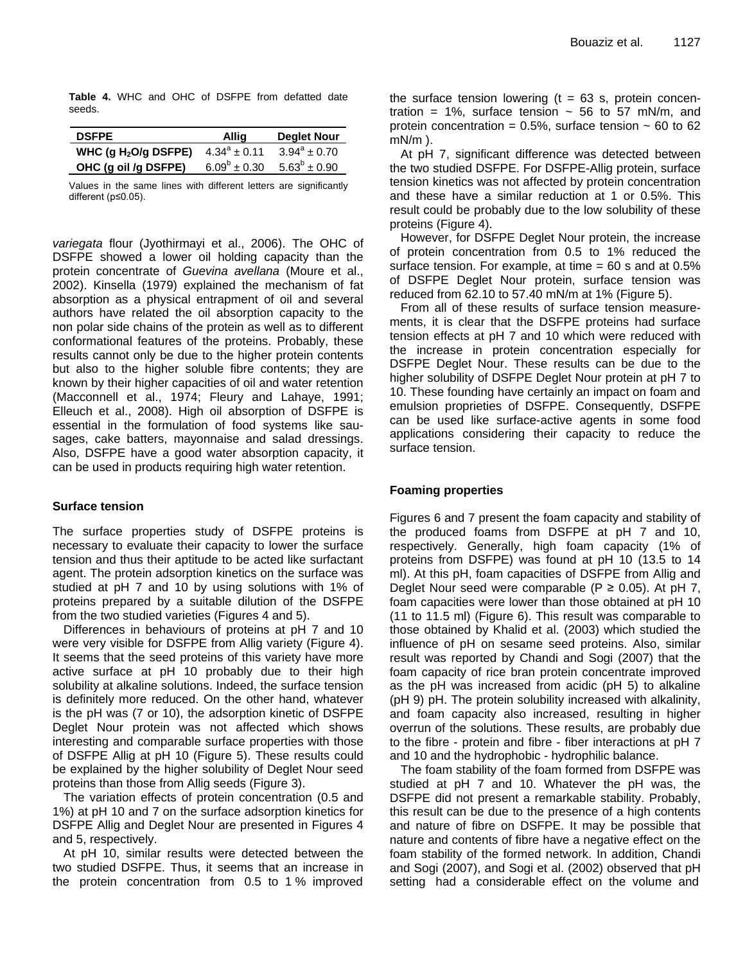**Table 4.** WHC and OHC of DSFPE from defatted date seeds.

| <b>DSFPE</b>           | <b>Allig</b>      | Deglet Nour       |
|------------------------|-------------------|-------------------|
| WHC (g $H_2O/g$ DSFPE) | $4.34^a \pm 0.11$ | $3.94^a \pm 0.70$ |
| OHC (g oil /g DSFPE)   | $6.09^b \pm 0.30$ | $5.63^b \pm 0.90$ |

Values in the same lines with different letters are significantly different (p≤0.05).

*variegata* flour (Jyothirmayi et al., 2006). The OHC of DSFPE showed a lower oil holding capacity than the protein concentrate of *Guevina avellana* (Moure et al., 2002). Kinsella (1979) explained the mechanism of fat absorption as a physical entrapment of oil and several authors have related the oil absorption capacity to the non polar side chains of the protein as well as to different conformational features of the proteins. Probably, these results cannot only be due to the higher protein contents but also to the higher soluble fibre contents; they are known by their higher capacities of oil and water retention (Macconnell et al., 1974; Fleury and Lahaye, 1991; Elleuch et al., 2008). High oil absorption of DSFPE is essential in the formulation of food systems like sausages, cake batters, mayonnaise and salad dressings. Also, DSFPE have a good water absorption capacity, it can be used in products requiring high water retention.

# **Surface tension**

The surface properties study of DSFPE proteins is necessary to evaluate their capacity to lower the surface tension and thus their aptitude to be acted like surfactant agent. The protein adsorption kinetics on the surface was studied at pH 7 and 10 by using solutions with 1% of proteins prepared by a suitable dilution of the DSFPE from the two studied varieties (Figures 4 and 5).

Differences in behaviours of proteins at pH 7 and 10 were very visible for DSFPE from Allig variety (Figure 4). It seems that the seed proteins of this variety have more active surface at pH 10 probably due to their high solubility at alkaline solutions. Indeed, the surface tension is definitely more reduced. On the other hand, whatever is the pH was (7 or 10), the adsorption kinetic of DSFPE Deglet Nour protein was not affected which shows interesting and comparable surface properties with those of DSFPE Allig at pH 10 (Figure 5). These results could be explained by the higher solubility of Deglet Nour seed proteins than those from Allig seeds (Figure 3).

The variation effects of protein concentration (0.5 and 1%) at pH 10 and 7 on the surface adsorption kinetics for DSFPE Allig and Deglet Nour are presented in Figures 4 and 5, respectively.

At pH 10, similar results were detected between the two studied DSFPE. Thus, it seems that an increase in the protein concentration from 0.5 to 1 % improved the surface tension lowering  $(t = 63 s,$  protein concentration = 1%, surface tension  $\sim$  56 to 57 mN/m, and protein concentration =  $0.5\%$ , surface tension  $\sim 60$  to 62 mN/m ).

At pH 7, significant difference was detected between the two studied DSFPE. For DSFPE-Allig protein, surface tension kinetics was not affected by protein concentration and these have a similar reduction at 1 or 0.5%. This result could be probably due to the low solubility of these proteins (Figure 4).

However, for DSFPE Deglet Nour protein, the increase of protein concentration from 0.5 to 1% reduced the surface tension. For example, at time  $= 60$  s and at  $0.5\%$ of DSFPE Deglet Nour protein, surface tension was reduced from 62.10 to 57.40 mN/m at 1% (Figure 5).

From all of these results of surface tension measurements, it is clear that the DSFPE proteins had surface tension effects at pH 7 and 10 which were reduced with the increase in protein concentration especially for DSFPE Deglet Nour. These results can be due to the higher solubility of DSFPE Deglet Nour protein at pH 7 to 10. These founding have certainly an impact on foam and emulsion proprieties of DSFPE. Consequently, DSFPE can be used like surface-active agents in some food applications considering their capacity to reduce the surface tension.

# **Foaming properties**

Figures 6 and 7 present the foam capacity and stability of the produced foams from DSFPE at pH 7 and 10, respectively. Generally, high foam capacity (1% of proteins from DSFPE) was found at pH 10 (13.5 to 14 ml). At this pH, foam capacities of DSFPE from Allig and Deglet Nour seed were comparable ( $P \ge 0.05$ ). At pH 7, foam capacities were lower than those obtained at pH 10 (11 to 11.5 ml) (Figure 6). This result was comparable to those obtained by Khalid et al. (2003) which studied the influence of pH on sesame seed proteins. Also, similar result was reported by Chandi and Sogi (2007) that the foam capacity of rice bran protein concentrate improved as the pH was increased from acidic (pH 5) to alkaline (pH 9) pH. The protein solubility increased with alkalinity, and foam capacity also increased, resulting in higher overrun of the solutions. These results, are probably due to the fibre - protein and fibre - fiber interactions at pH 7 and 10 and the hydrophobic - hydrophilic balance.

The foam stability of the foam formed from DSFPE was studied at pH 7 and 10. Whatever the pH was, the DSFPE did not present a remarkable stability. Probably, this result can be due to the presence of a high contents and nature of fibre on DSFPE. It may be possible that nature and contents of fibre have a negative effect on the foam stability of the formed network. In addition, Chandi and Sogi (2007), and Sogi et al. (2002) observed that pH setting had a considerable effect on the volume and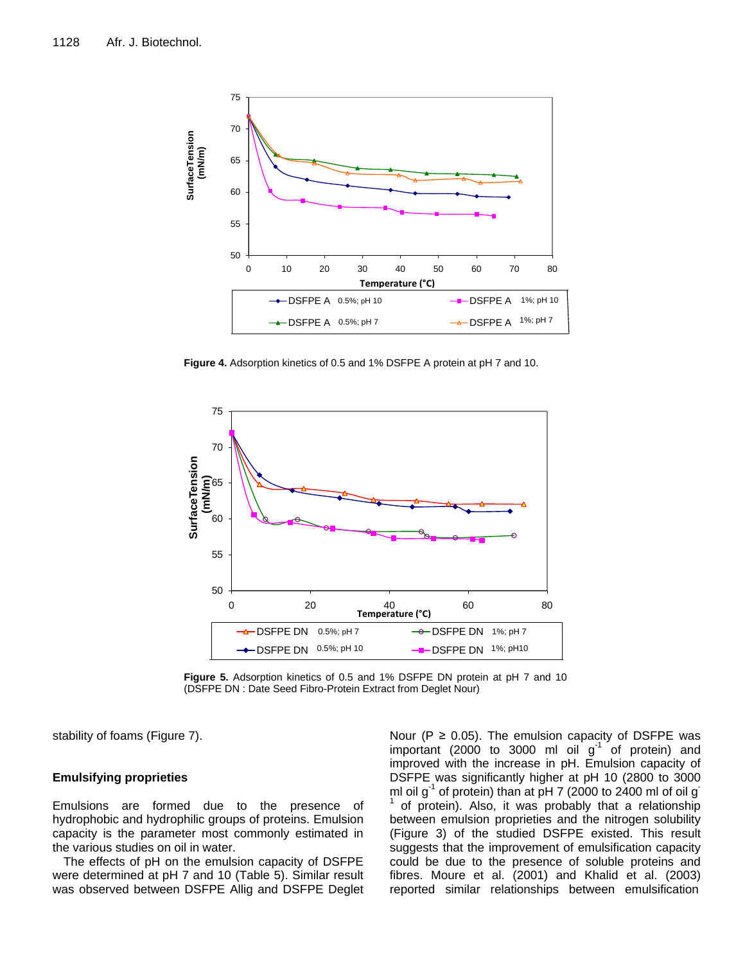

**Figure 4.** Adsorption kinetics of 0.5 and 1% DSFPE A protein at pH 7 and 10.



**Figure 5.** Adsorption kinetics of 0.5 and 1% DSFPE DN protein at pH 7 and 10 (DSFPE DN : Date Seed Fibro-Protein Extract from Deglet Nour)

stability of foams (Figure 7).

# **Emulsifying proprieties**

Emulsions are formed due to the presence of hydrophobic and hydrophilic groups of proteins. Emulsion capacity is the parameter most commonly estimated in the various studies on oil in water.

The effects of pH on the emulsion capacity of DSFPE were determined at pH 7 and 10 (Table 5). Similar result was observed between DSFPE Allig and DSFPE Deglet

Nour ( $P \ge 0.05$ ). The emulsion capacity of DSFPE was important (2000 to 3000 ml oil  $g^{-1}$  of protein) and improved with the increase in pH. Emulsion capacity of DSFPE was significantly higher at pH 10 (2800 to 3000 ml oil g<sup>-1</sup> of protein) than at pH 7 (2000 to 2400 ml of oil g<sup>-</sup> 1 of protein). Also, it was probably that a relationship between emulsion proprieties and the nitrogen solubility (Figure 3) of the studied DSFPE existed. This result suggests that the improvement of emulsification capacity could be due to the presence of soluble proteins and fibres. Moure et al. (2001) and Khalid et al. (2003) reported similar relationships between emulsification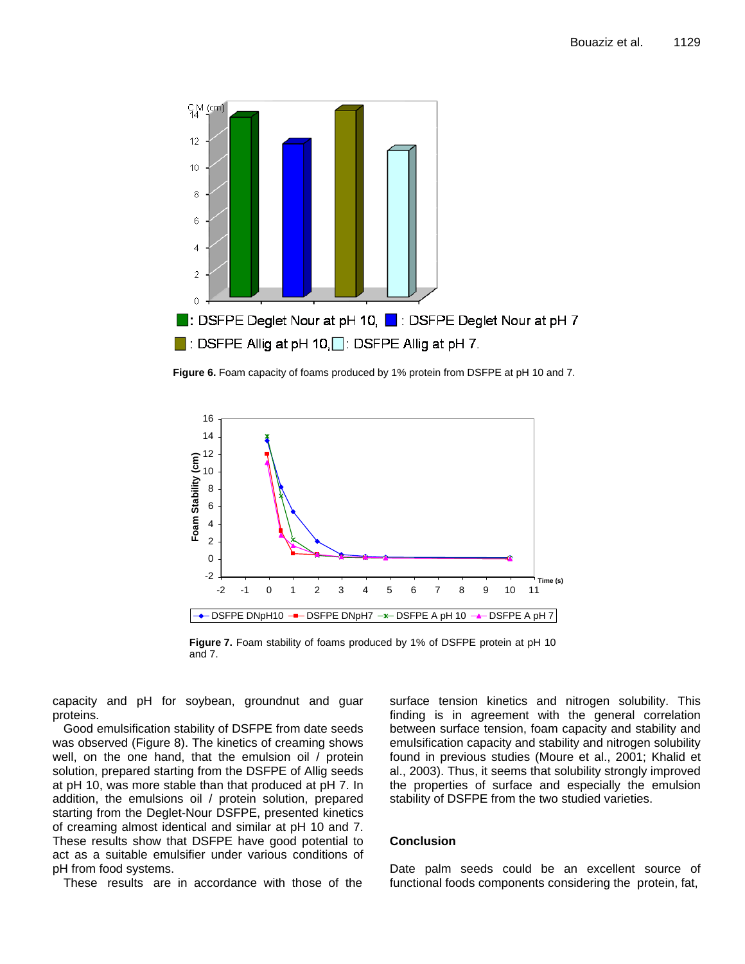

**Figure 6.** Foam capacity of foams produced by 1% protein from DSFPE at pH 10 and 7.



**Figure 7.** Foam stability of foams produced by 1% of DSFPE protein at pH 10 and 7.

capacity and pH for soybean, groundnut and guar proteins.

Good emulsification stability of DSFPE from date seeds was observed (Figure 8). The kinetics of creaming shows well, on the one hand, that the emulsion oil / protein solution, prepared starting from the DSFPE of Allig seeds at pH 10, was more stable than that produced at pH 7. In addition, the emulsions oil / protein solution, prepared starting from the Deglet-Nour DSFPE, presented kinetics of creaming almost identical and similar at pH 10 and 7. These results show that DSFPE have good potential to act as a suitable emulsifier under various conditions of pH from food systems.

These results are in accordance with those of the

surface tension kinetics and nitrogen solubility. This finding is in agreement with the general correlation between surface tension, foam capacity and stability and emulsification capacity and stability and nitrogen solubility found in previous studies (Moure et al., 2001; Khalid et al., 2003). Thus, it seems that solubility strongly improved the properties of surface and especially the emulsion stability of DSFPE from the two studied varieties.

# **Conclusion**

Date palm seeds could be an excellent source of functional foods components considering the protein, fat,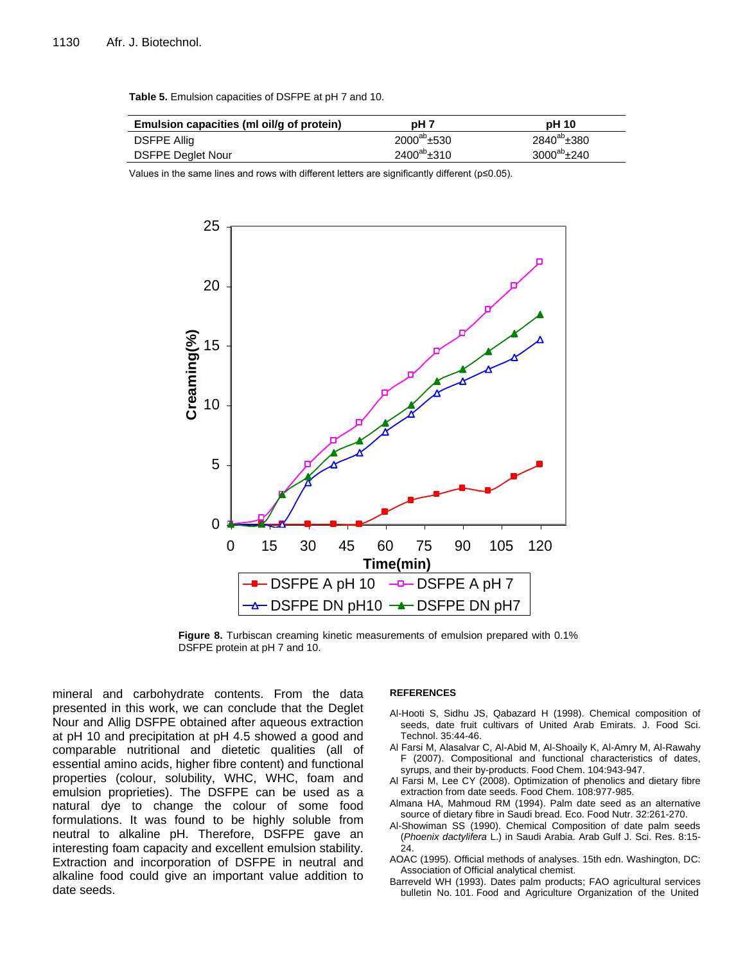| Emulsion capacities (ml oil/g of protein) | pH 7             | <b>pH</b> 10          |
|-------------------------------------------|------------------|-----------------------|
| <b>DSFPE Allig</b>                        | $2000^{ab}$ ±530 | $2840^{ab} \pm 380$   |
| <b>DSFPE Deglet Nour</b>                  | $2400^{ab}$ ±310 | $3000^{ab}$ $\pm 240$ |

**Table 5.** Emulsion capacities of DSFPE at pH 7 and 10.

Values in the same lines and rows with different letters are significantly different (p≤0.05).



**Figure 8.** Turbiscan creaming kinetic measurements of emulsion prepared with 0.1% DSFPE protein at pH 7 and 10.

mineral and carbohydrate contents. From the data presented in this work, we can conclude that the Deglet Nour and Allig DSFPE obtained after aqueous extraction at pH 10 and precipitation at pH 4.5 showed a good and comparable nutritional and dietetic qualities (all of essential amino acids, higher fibre content) and functional properties (colour, solubility, WHC, WHC, foam and emulsion proprieties). The DSFPE can be used as a natural dye to change the colour of some food formulations. It was found to be highly soluble from neutral to alkaline pH. Therefore, DSFPE gave an interesting foam capacity and excellent emulsion stability. Extraction and incorporation of DSFPE in neutral and alkaline food could give an important value addition to date seeds.

#### **REFERENCES**

- Al-Hooti S, Sidhu JS, Qabazard H (1998). Chemical composition of seeds, date fruit cultivars of United Arab Emirats. J. Food Sci. Technol. 35:44-46.
- Al Farsi M, Alasalvar C, Al-Abid M, Al-Shoaily K, Al-Amry M, Al-Rawahy F (2007). Compositional and functional characteristics of dates, syrups, and their by-products. Food Chem. 104:943-947.
- Al Farsi M, Lee CY (2008). Optimization of phenolics and dietary fibre extraction from date seeds. Food Chem. 108:977-985.
- Almana HA, Mahmoud RM (1994). Palm date seed as an alternative source of dietary fibre in Saudi bread. Eco. Food Nutr. 32:261-270.
- Al-Showiman SS (1990). Chemical Composition of date palm seeds (*Phoenix dactylifera* L.) in Saudi Arabia. Arab Gulf J. Sci. Res. 8:15- 24.
- AOAC (1995). Official methods of analyses. 15th edn. Washington, DC: Association of Official analytical chemist.
- Barreveld WH (1993). Dates palm products; FAO agricultural services bulletin No. 101. Food and Agriculture Organization of the United